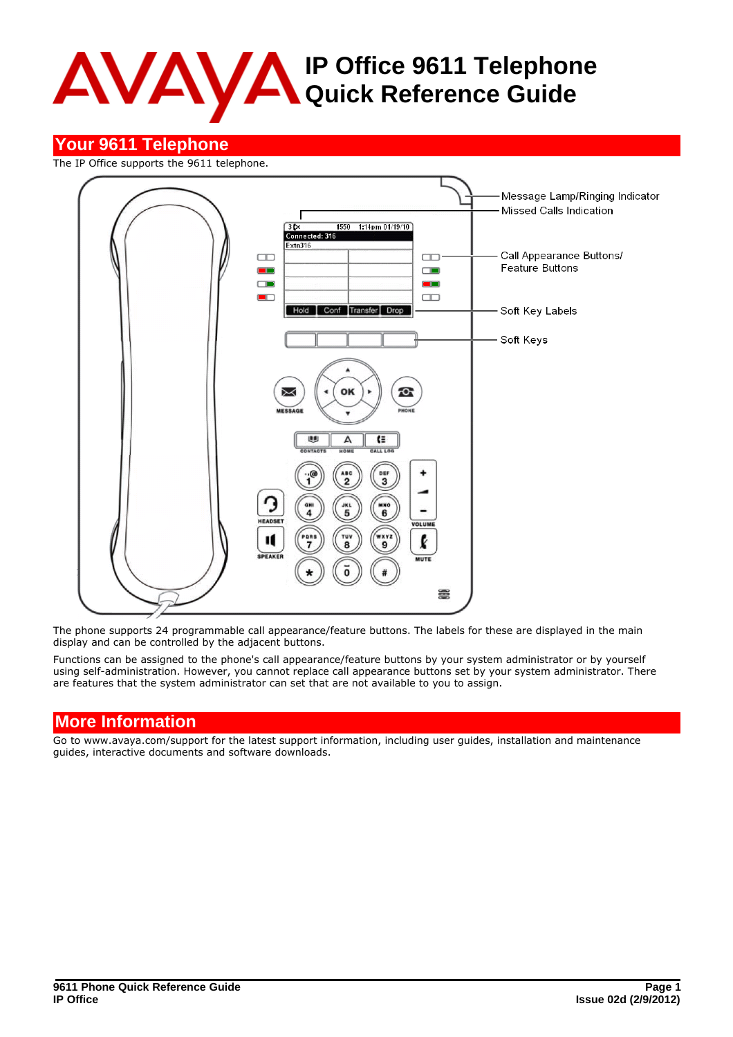# **IP Office 9611 Telephone Quick Reference Guide**

# **Your 9611 Telephone**

The IP Office supports the 9611 telephone.



The phone supports 24 programmable call appearance/feature buttons. The labels for these are displayed in the main display and can be controlled by the adjacent buttons.

Functions can be assigned to the phone's call appearance/feature buttons by your system administrator or by yourself using self-administration. However, you cannot replace call appearance buttons set by your system administrator. There are features that the system administrator can set that are not available to you to assign.

# **More Information**

Go to www.avaya.com/support for the latest support information, including user guides, installation and maintenance guides, interactive documents and software downloads.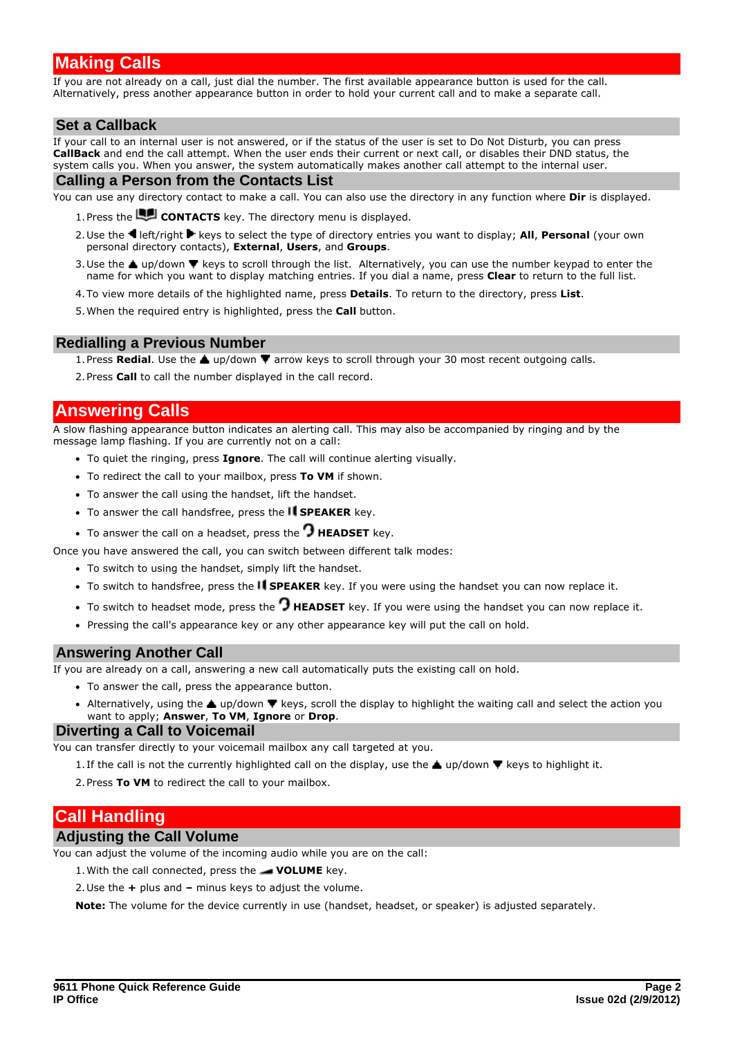# **Making Calls**

If you are not already on a call, just dial the number. The first available appearance button is used for the call. Alternatively, press another appearance button in order to hold your current call and to make a separate call.

# **Set a Callback**

If your call to an internal user is not answered, or if the status of the user is set to Do Not Disturb, you can press **CallBack** and end the call attempt. When the user ends their current or next call, or disables their DND status, the system calls you. When you answer, the system automatically makes another call attempt to the internal user.

## **Calling a Person from the Contacts List**

You can use any directory contact to make a call. You can also use the directory in any function where **Dir** is displayed.

- 1. Press the **CONTACTS** key. The directory menu is displayed.
- 2. Use the  $\blacktriangleleft$  left/right  $\blacktriangleright$  keys to select the type of directory entries you want to display; All, Personal (your own personal directory contacts), External, Users, and Groups.
- 3. Use the **A** up/down  $\Psi$  keys to scroll through the list. Alternatively, you can use the number keypad to enter the name for which you want to display matching entries. If you dial a name, press **Clear** to return to the full list.
- 4.To view more details of the highlighted name, press **Details**. To return to the directory, press **List**.
- 5.When the required entry is highlighted, press the **Call** button.

## **Redialling a Previous Number**

- 1. Press Redial. Use the *Lup/down*  $\blacktriangledown$  arrow keys to scroll through your 30 most recent outgoing calls.
- 2.Press **Call** to call the number displayed in the call record.

# **Answering Calls**

A slow flashing appearance button indicates an alerting call. This may also be accompanied by ringing and by the message lamp flashing. If you are currently not on a call:

- · To quiet the ringing, press **Ignore**. The call will continue alerting visually.
- · To redirect the call to your mailbox, press **To VM** if shown.
- · To answer the call using the handset, lift the handset.
- To answer the call handsfree, press the **II SPEAKER** key.
- · To answer the call on a headset, press the **HEADSET** key.

Once you have answered the call, you can switch between different talk modes:

- · To switch to using the handset, simply lift the handset.
- To switch to handsfree, press the **II SPEAKER** key. If you were using the handset you can now replace it.
- · To switch to headset mode, press the **HEADSET** key. If you were using the handset you can now replace it.
- · Pressing the call's appearance key or any other appearance key will put the call on hold.

## **Answering Another Call**

If you are already on a call, answering a new call automatically puts the existing call on hold.

- · To answer the call, press the appearance button.
- Alternatively, using the  $\triangle$  up/down  $\Psi$  keys, scroll the display to highlight the waiting call and select the action you want to apply; **Answer**, **To VM**, **Ignore** or **Drop**.

## **Diverting a Call to Voicemail**

You can transfer directly to your voicemail mailbox any call targeted at you.

- 1. If the call is not the currently highlighted call on the display, use the  $\triangle$  up/down  $\Psi$  keys to highlight it.
- 2.Press **To VM** to redirect the call to your mailbox.

# **Call Handling**

## **Adjusting the Call Volume**

You can adjust the volume of the incoming audio while you are on the call:

1.With the call connected, press the **VOLUME** key.

2.Use the **+** plus and **–** minus keys to adjust the volume.

**Note:** The volume for the device currently in use (handset, headset, or speaker) is adjusted separately.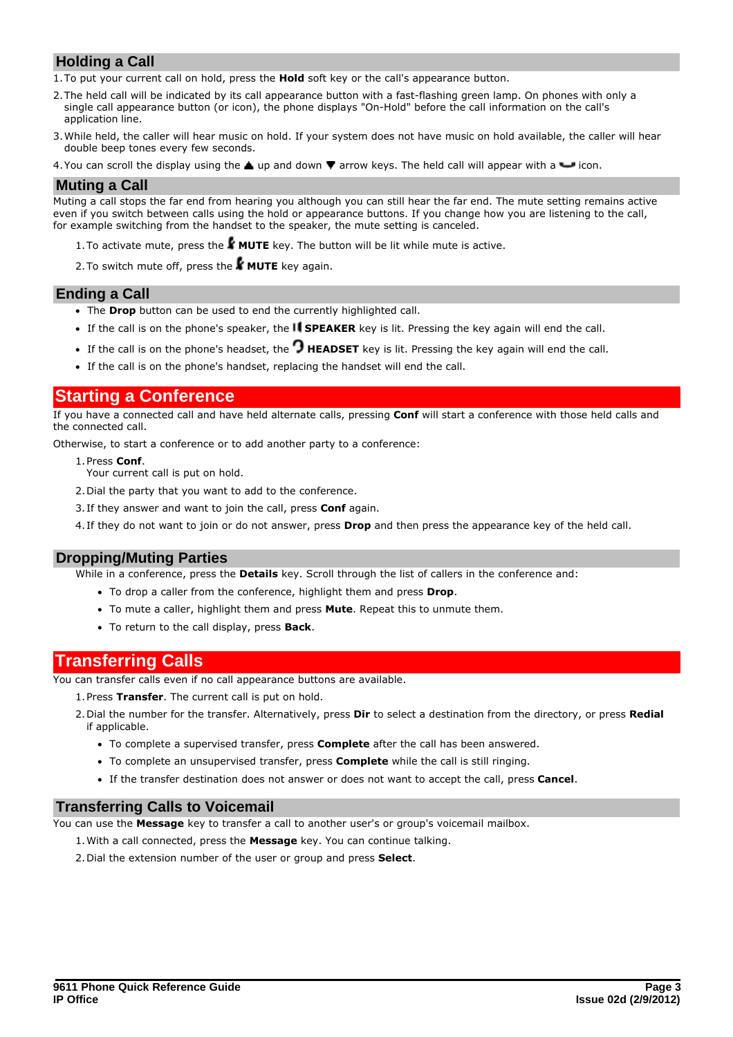# **Holding a Call**

1.To put your current call on hold, press the **Hold** soft key or the call's appearance button.

- 2.The held call will be indicated by its call appearance button with a fast-flashing green lamp. On phones with only a single call appearance button (or icon), the phone displays "On-Hold" before the call information on the call's application line.
- 3.While held, the caller will hear music on hold. If your system does not have music on hold available, the caller will hear double beep tones every few seconds.
- 4. You can scroll the display using the  $\triangle$  up and down  $\nabla$  arrow keys. The held call will appear with a  $\blacksquare$  icon.

## **Muting a Call**

Muting a call stops the far end from hearing you although you can still hear the far end. The mute setting remains active even if you switch between calls using the hold or appearance buttons. If you change how you are listening to the call, for example switching from the handset to the speaker, the mute setting is canceled.

1.To activate mute, press the **MUTE** key. The button will be lit while mute is active.

2.To switch mute off, press the **MUTE** key again.

## **Ending a Call**

- · The **Drop** button can be used to end the currently highlighted call.
- · If the call is on the phone's speaker, the **SPEAKER** key is lit. Pressing the key again will end the call.
- If the call is on the phone's headset, the **J HEADSET** key is lit. Pressing the key again will end the call.
- · If the call is on the phone's handset, replacing the handset will end the call.

# **Starting a Conference**

If you have a connected call and have held alternate calls, pressing **Conf** will start a conference with those held calls and the connected call.

Otherwise, to start a conference or to add another party to a conference:

- 
- 1.Press **Conf**. Your current call is put on hold.
- 2.Dial the party that you want to add to the conference.
- 3. If they answer and want to join the call, press **Conf** again.
- 4. If they do not want to join or do not answer, press **Drop** and then press the appearance key of the held call.

#### **Dropping/Muting Parties**

While in a conference, press the **Details** key. Scroll through the list of callers in the conference and:

- · To drop a caller from the conference, highlight them and press **Drop**.
- · To mute a caller, highlight them and press **Mute**. Repeat this to unmute them.
- · To return to the call display, press **Back**.

# **Transferring Calls**

You can transfer calls even if no call appearance buttons are available.

- 1.Press **Transfer**. The current call is put on hold.
- 2.Dial the number for the transfer. Alternatively, press **Dir** to select a destination from the directory, or press **Redial** if applicable.
	- · To complete a supervised transfer, press **Complete** after the call has been answered.
	- · To complete an unsupervised transfer, press **Complete** while the call is still ringing.
	- · If the transfer destination does not answer or does not want to accept the call, press **Cancel**.

## **Transferring Calls to Voicemail**

You can use the **Message** key to transfer a call to another user's or group's voicemail mailbox.

1.With a call connected, press the **Message** key. You can continue talking.

2.Dial the extension number of the user or group and press **Select**.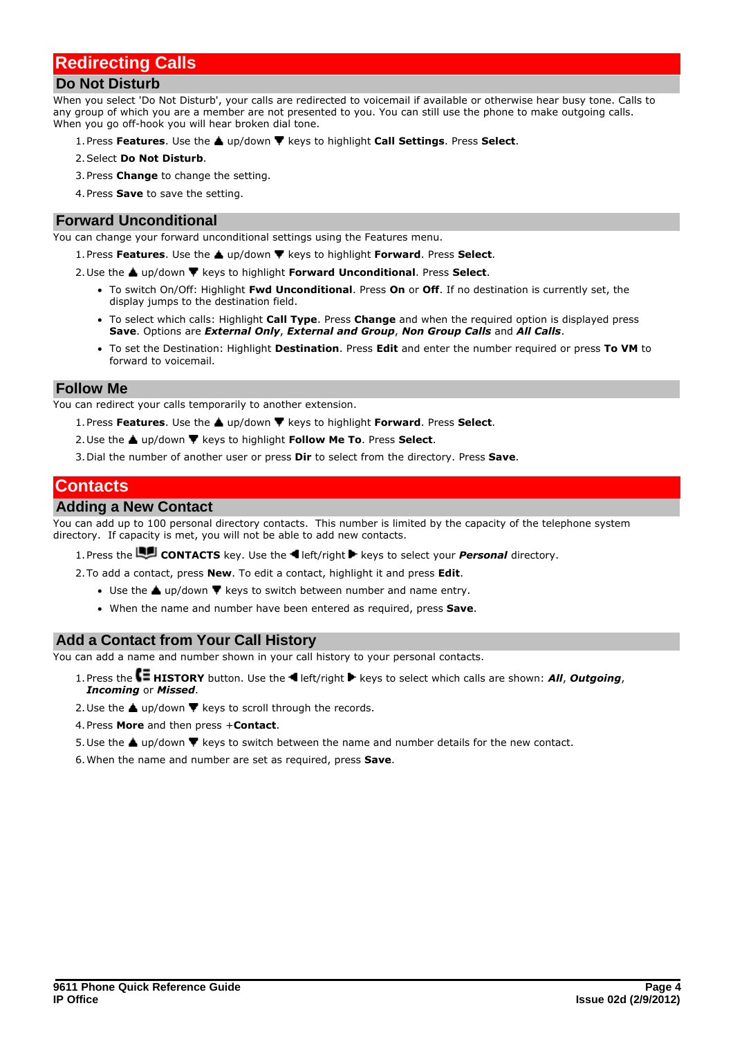# **Redirecting Calls**

# **Do Not Disturb**

When you select 'Do Not Disturb', your calls are redirected to voicemail if available or otherwise hear busy tone. Calls to any group of which you are a member are not presented to you. You can still use the phone to make outgoing calls. When you go off-hook you will hear broken dial tone.

- 1. Press **Features**. Use the ▲ up/down ▼ keys to highlight **Call Settings**. Press Select.
- 2.Select **Do Not Disturb**.
- 3.Press **Change** to change the setting.
- 4.Press **Save** to save the setting.

#### **Forward Unconditional**

You can change your forward unconditional settings using the Features menu.

1. Press **Features**. Use the ▲ up/down ▼ keys to highlight **Forward**. Press **Select**. 2. Use the ▲ up/down ▼ keys to highlight **Forward Unconditional**. Press **Select**.

- · To switch On/Off: Highlight **Fwd Unconditional**. Press **On** or **Off**. If no destination is currently set, the display jumps to the destination field.
- · To select which calls: Highlight **Call Type**. Press **Change** and when the required option is displayed press **Save**. Options are *External Only*, *External and Group*, *Non Group Calls* and *All Calls*.
- · To set the Destination: Highlight **Destination**. Press **Edit** and enter the number required or press **To VM** to forward to voicemail.

#### **Follow Me**

You can redirect your calls temporarily to another extension.

- 1. Press **Features**. Use the ▲ up/down ▼ keys to highlight **Forward**. Press **Select**.
- 2. Use the ▲ up/down ▼ keys to highlight **Follow Me To**. Press Select.
- 3.Dial the number of another user or press **Dir** to select from the directory. Press **Save**.

# **Contacts**

# **Adding a New Contact**

You can add up to 100 personal directory contacts. This number is limited by the capacity of the telephone system directory. If capacity is met, you will not be able to add new contacts.

1. Press the **CONTACTS** key. Use the **I** left/right keys to select your **Personal** directory.

2.To add a contact, press **New**. To edit a contact, highlight it and press **Edit**.

- Use the  $\triangle$  up/down  $\nabla$  keys to switch between number and name entry.
- · When the name and number have been entered as required, press **Save**.

# **Add a Contact from Your Call History**

You can add a name and number shown in your call history to your personal contacts.

- 1. Press the  $\blacksquare$  HISTORY button. Use the  $\blacktriangleleft$  left/right  $\blacktriangleright$  keys to select which calls are shown: *All*, *Outgoing*, *Incoming* or *Missed*.<br>2.Use the ▲ up/down ▼ keys to scroll through the records.
- 
- 
- 4. Press **More** and then press + **Contact**.<br>5. Use the ▲ up/down ▼ keys to switch between the name and number details for the new contact.
- 6.When the name and number are set as required, press **Save**.